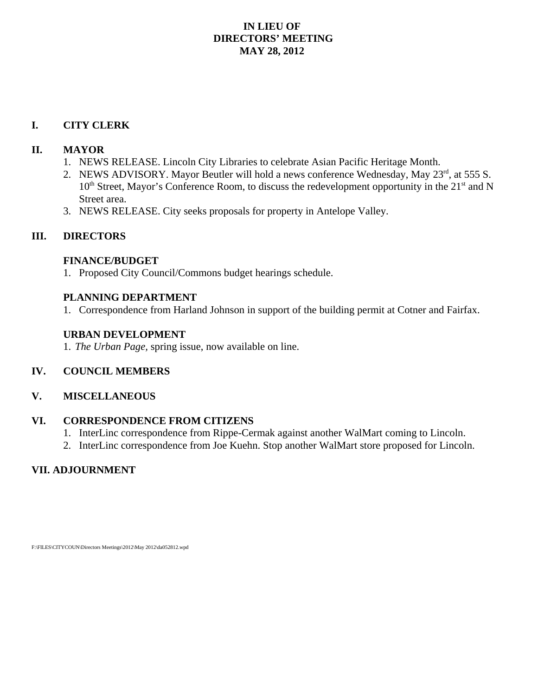# **IN LIEU OF DIRECTORS' MEETING MAY 28, 2012**

# **I. CITY CLERK**

# **II. MAYOR**

- 1. NEWS RELEASE. Lincoln City Libraries to celebrate Asian Pacific Heritage Month.
- 2. NEWS ADVISORY. Mayor Beutler will hold a news conference Wednesday, May 23<sup>rd</sup>, at 555 S.  $10<sup>th</sup> Street, Mayor's Conference Room, to discuss the redevelopment opportunity in the  $21<sup>st</sup>$  and N$ Street area.
- 3. NEWS RELEASE. City seeks proposals for property in Antelope Valley.

# **III. DIRECTORS**

# **FINANCE/BUDGET**

1. Proposed City Council/Commons budget hearings schedule.

# **PLANNING DEPARTMENT**

1. Correspondence from Harland Johnson in support of the building permit at Cotner and Fairfax.

# **URBAN DEVELOPMENT**

1. *The Urban Page,* spring issue, now available on line.

# **IV. COUNCIL MEMBERS**

## **V. MISCELLANEOUS**

# **VI. CORRESPONDENCE FROM CITIZENS**

- 1. InterLinc correspondence from Rippe-Cermak against another WalMart coming to Lincoln.
- 2. InterLinc correspondence from Joe Kuehn. Stop another WalMart store proposed for Lincoln.

# **VII. ADJOURNMENT**

F:\FILES\CITYCOUN\Directors Meetings\2012\May 2012\da052812.wpd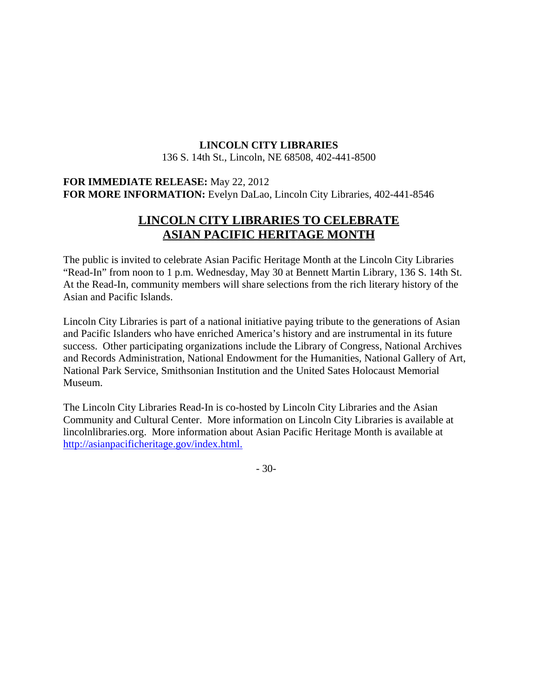# **LINCOLN CITY LIBRARIES**

136 S. 14th St., Lincoln, NE 68508, 402-441-8500

# **FOR IMMEDIATE RELEASE:** May 22, 2012 **FOR MORE INFORMATION:** Evelyn DaLao, Lincoln City Libraries, 402-441-8546

# **LINCOLN CITY LIBRARIES TO CELEBRATE ASIAN PACIFIC HERITAGE MONTH**

The public is invited to celebrate Asian Pacific Heritage Month at the Lincoln City Libraries "Read-In" from noon to 1 p.m. Wednesday, May 30 at Bennett Martin Library, 136 S. 14th St. At the Read-In, community members will share selections from the rich literary history of the Asian and Pacific Islands.

Lincoln City Libraries is part of a national initiative paying tribute to the generations of Asian and Pacific Islanders who have enriched America's history and are instrumental in its future success. Other participating organizations include the Library of Congress, National Archives and Records Administration, National Endowment for the Humanities, National Gallery of Art, National Park Service, Smithsonian Institution and the United Sates Holocaust Memorial Museum.

The Lincoln City Libraries Read-In is co-hosted by Lincoln City Libraries and the Asian Community and Cultural Center. More information on Lincoln City Libraries is available at lincolnlibraries.org. More information about Asian Pacific Heritage Month is available at http://asianpacificheritage.gov/index.html.

- 30-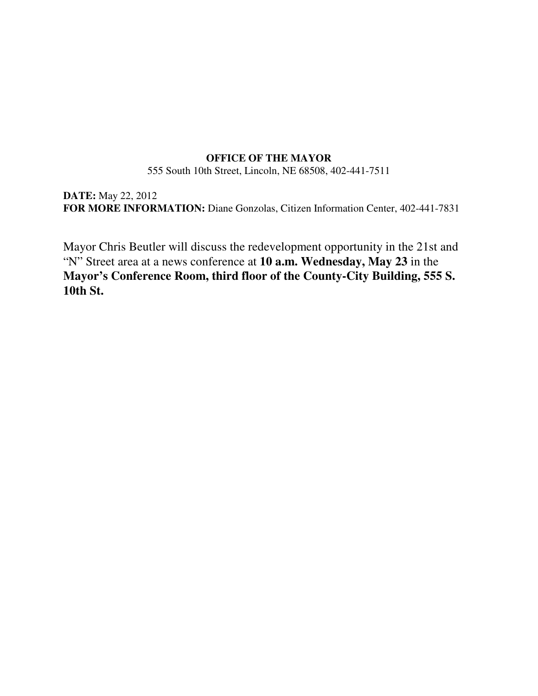## **OFFICE OF THE MAYOR**

555 South 10th Street, Lincoln, NE 68508, 402-441-7511

**DATE:** May 22, 2012 **FOR MORE INFORMATION:** Diane Gonzolas, Citizen Information Center, 402-441-7831

Mayor Chris Beutler will discuss the redevelopment opportunity in the 21st and "N" Street area at a news conference at **10 a.m. Wednesday, May 23** in the **Mayor's Conference Room, third floor of the County-City Building, 555 S. 10th St.**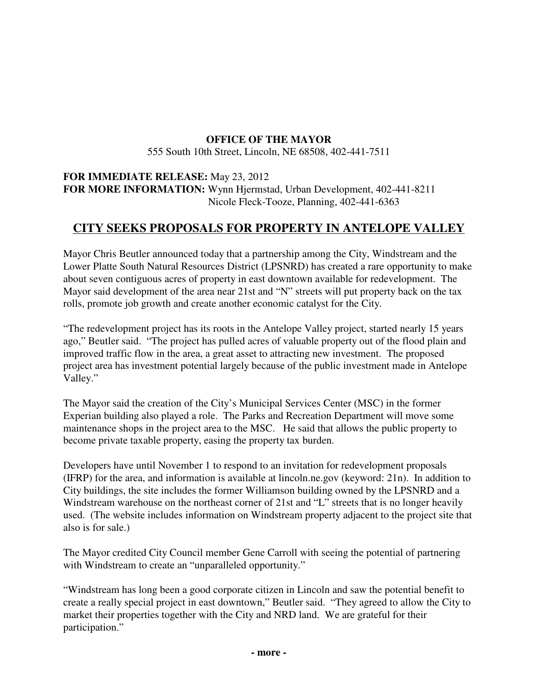# **OFFICE OF THE MAYOR**

555 South 10th Street, Lincoln, NE 68508, 402-441-7511

# **FOR IMMEDIATE RELEASE:** May 23, 2012 **FOR MORE INFORMATION:** Wynn Hjermstad, Urban Development, 402-441-8211 Nicole Fleck-Tooze, Planning, 402-441-6363

# **CITY SEEKS PROPOSALS FOR PROPERTY IN ANTELOPE VALLEY**

Mayor Chris Beutler announced today that a partnership among the City, Windstream and the Lower Platte South Natural Resources District (LPSNRD) has created a rare opportunity to make about seven contiguous acres of property in east downtown available for redevelopment. The Mayor said development of the area near 21st and "N" streets will put property back on the tax rolls, promote job growth and create another economic catalyst for the City.

"The redevelopment project has its roots in the Antelope Valley project, started nearly 15 years ago," Beutler said. "The project has pulled acres of valuable property out of the flood plain and improved traffic flow in the area, a great asset to attracting new investment. The proposed project area has investment potential largely because of the public investment made in Antelope Valley."

The Mayor said the creation of the City's Municipal Services Center (MSC) in the former Experian building also played a role. The Parks and Recreation Department will move some maintenance shops in the project area to the MSC. He said that allows the public property to become private taxable property, easing the property tax burden.

Developers have until November 1 to respond to an invitation for redevelopment proposals (IFRP) for the area, and information is available at lincoln.ne.gov (keyword: 21n). In addition to City buildings, the site includes the former Williamson building owned by the LPSNRD and a Windstream warehouse on the northeast corner of 21st and "L" streets that is no longer heavily used. (The website includes information on Windstream property adjacent to the project site that also is for sale.)

The Mayor credited City Council member Gene Carroll with seeing the potential of partnering with Windstream to create an "unparalleled opportunity."

"Windstream has long been a good corporate citizen in Lincoln and saw the potential benefit to create a really special project in east downtown," Beutler said. "They agreed to allow the City to market their properties together with the City and NRD land. We are grateful for their participation."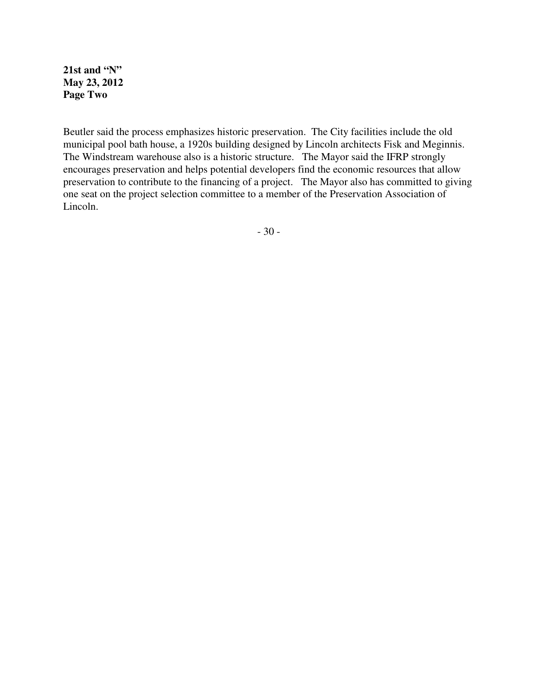**21st and "N" May 23, 2012 Page Two**

Beutler said the process emphasizes historic preservation. The City facilities include the old municipal pool bath house, a 1920s building designed by Lincoln architects Fisk and Meginnis. The Windstream warehouse also is a historic structure. The Mayor said the IFRP strongly encourages preservation and helps potential developers find the economic resources that allow preservation to contribute to the financing of a project. The Mayor also has committed to giving one seat on the project selection committee to a member of the Preservation Association of Lincoln.

- 30 -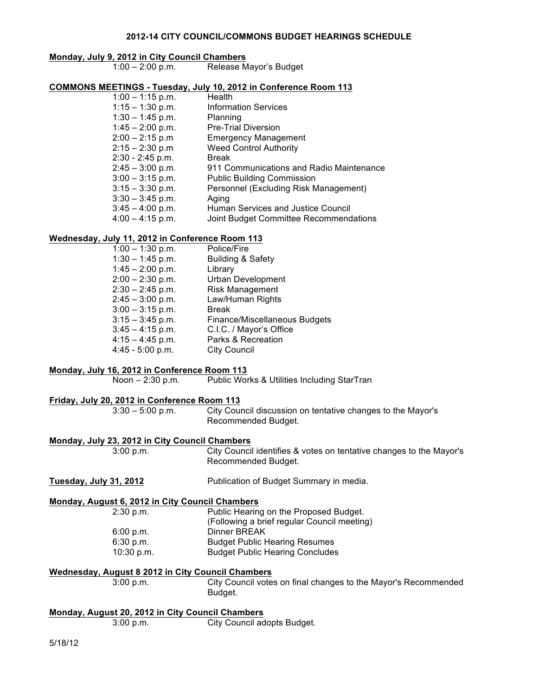#### **2012-14 CITY COUNCIL/COMMONS BUDGET HEARINGS SCHEDULE**

# **Monday, July 9, 2012 in City Council Chambers**

Release Mayor's Budget

# **COMMONS MEETINGS - Tuesday, July 10, 2012 in Conference Room 113**

1:00 – 1:15 p.m.<br>1:15 – 1:30 p.m. Information Services 1:30 – 1:45 p.m. Planning 1:45 – 2:00 p.m. Pre-Trial Diversion 2:00 – 2:15 p.m Emergency Management 2:15 – 2:30 p.m Weed Control Authority 2:30 - 2:45 p.m. Break 911 Communications and Radio Maintenance 3:00 – 3:15 p.m. Public Building Commission Personnel (Excluding Risk Management) 3:30 – 3:45 p.m. Aging Human Services and Justice Council Joint Budget Committee Recommendations

#### **Wednesday, July 11, 2012 in Conference Room 113**

| $1:00 - 1:30$ p.m. | Police/Fire                          |
|--------------------|--------------------------------------|
| $1:30 - 1:45$ p.m. | <b>Building &amp; Safety</b>         |
| $1:45 - 2:00$ p.m. | Library                              |
| $2:00 - 2:30$ p.m. | <b>Urban Development</b>             |
| $2:30 - 2:45$ p.m. | <b>Risk Management</b>               |
| $2:45 - 3:00$ p.m. | Law/Human Rights                     |
| $3:00 - 3:15$ p.m. | <b>Break</b>                         |
| $3:15 - 3:45$ p.m. | <b>Finance/Miscellaneous Budgets</b> |
| $3:45 - 4:15$ p.m. | C.I.C. / Mayor's Office              |
| $4:15 - 4:45$ p.m. | Parks & Recreation                   |
| $4:45 - 5:00$ p.m. | <b>City Council</b>                  |

# **Monday, July 16, 2012 in Conference Room 113** Noon – 2:30 p.m. Public Works & Utilities Including StarTran **Friday, July 20, 2012 in Conference Room 113** 3:30 – 5:00 p.m. City Council discussion on tentative changes to the Mayor's Recommended Budget. **Monday, July 23, 2012 in City Council Chambers** 3:00 p.m. City Council identifies & votes on tentative changes to the Mayor's

# Recommended Budget. **Tuesday, July 31, 2012** Publication of Budget Summary in media. **Monday, August 6, 2012 in City Council Chambers** 2:30 p.m. Public Hearing on the Proposed Budget. (Following a brief regular Council meeting) 6:00 p.m. Dinner BREAK 6:30 p.m. Budget Public Hearing Resumes 10:30 p.m. Budget Public Hearing Concludes **Wednesday, August 8 2012 in City Council Chambers** 3:00 p.m. City Council votes on final changes to the Mayor's Recommended Budget.

| Monday, August 20, 2012 in City Council Chambers |                             |
|--------------------------------------------------|-----------------------------|
| $3:00$ p.m.                                      | City Council adopts Budget. |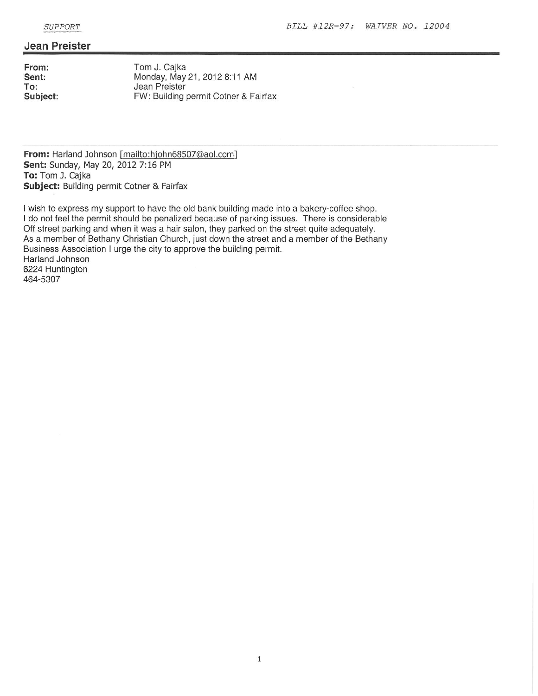#### **Jean Preister**

From: Sent: To: Subject:

Tom J. Cajka Monday, May 21, 2012 8:11 AM Jean Preister FW: Building permit Cotner & Fairfax

From: Harland Johnson [mailto:hjohn68507@aol.com] Sent: Sunday, May 20, 2012 7:16 PM To: Tom J. Cajka Subject: Building permit Cotner & Fairfax

I wish to express my support to have the old bank building made into a bakery-coffee shop. I do not feel the permit should be penalized because of parking issues. There is considerable Off street parking and when it was a hair salon, they parked on the street quite adequately. As a member of Bethany Christian Church, just down the street and a member of the Bethany Business Association I urge the city to approve the building permit. Harland Johnson 6224 Huntington 464-5307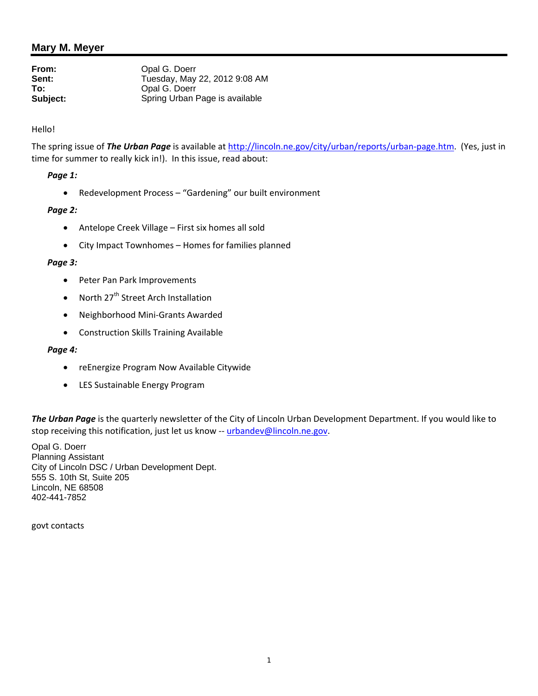# **Mary M. Meyer**

| From:    | Opal G. Doerr                  |
|----------|--------------------------------|
| Sent:    | Tuesday, May 22, 2012 9:08 AM  |
| To:      | Opal G. Doerr                  |
| Subject: | Spring Urban Page is available |

#### Hello!

The spring issue of *The Urban Page* is available at http://lincoln.ne.gov/city/urban/reports/urban‐page.htm. (Yes, just in time for summer to really kick in!). In this issue, read about:

#### *Page 1:*

Redevelopment Process – "Gardening" our built environment

#### *Page 2:*

- Antelope Creek Village First six homes all sold
- City Impact Townhomes Homes for families planned

#### *Page 3:*

- Peter Pan Park Improvements
- North  $27<sup>th</sup>$  Street Arch Installation
- Neighborhood Mini-Grants Awarded
- Construction Skills Training Available

#### *Page 4:*

- reEnergize Program Now Available Citywide
- LES Sustainable Energy Program

*The Urban Page* is the quarterly newsletter of the City of Lincoln Urban Development Department. If you would like to stop receiving this notification, just let us know -- urbandev@lincoln.ne.gov.

Opal G. Doerr Planning Assistant City of Lincoln DSC / Urban Development Dept. 555 S. 10th St, Suite 205 Lincoln, NE 68508 402-441-7852

govt contacts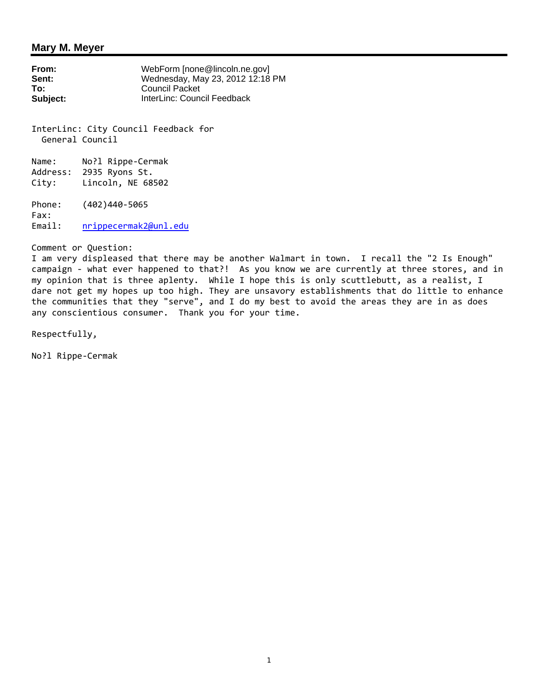### **Mary M. Meyer**

**From:** WebForm [none@lincoln.ne.gov]<br>**Sent:** Wednesday. May 23, 2012 12:18 **Sent:** Wednesday, May 23, 2012 12:18 PM **To:** Council Packet **Subject:** InterLinc: Council Feedback

InterLinc: City Council Feedback for General Council

Name: No?l Rippe-Cermak Address: 2935 Ryons St. City: Lincoln, NE 68502

Phone: (402)440‐5065 Fax: Email: nrippecermak2@unl.edu

Comment or Question:

I am very displeased that there may be another Walmart in town. I recall the "2 Is Enough" campaign - what ever happened to that?! As you know we are currently at three stores, and in my opinion that is three aplenty. While I hope this is only scuttlebutt, as a realist, I dare not get my hopes up too high. They are unsavory establishments that do little to enhance the communities that they "serve", and I do my best to avoid the areas they are in as does any conscientious consumer. Thank you for your time.

Respectfully,

No?l Rippe‐Cermak